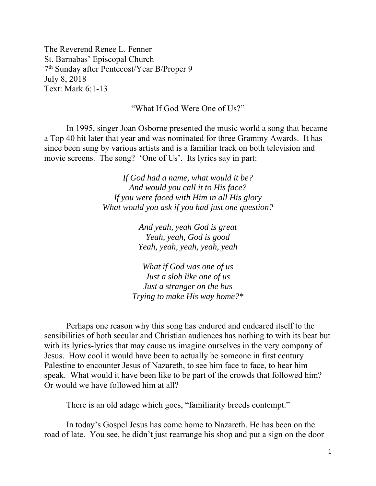The Reverend Renee L. Fenner St. Barnabas' Episcopal Church 7th Sunday after Pentecost/Year B/Proper 9 July 8, 2018 Text: Mark 6:1-13

"What If God Were One of Us?"

 In 1995, singer Joan Osborne presented the music world a song that became a Top 40 hit later that year and was nominated for three Grammy Awards. It has since been sung by various artists and is a familiar track on both television and movie screens. The song? 'One of Us'. Its lyrics say in part:

> *If God had a name, what would it be? And would you call it to His face? If you were faced with Him in all His glory What would you ask if you had just one question?*

> > *And yeah, yeah God is great Yeah, yeah, God is good Yeah, yeah, yeah, yeah, yeah*

*What if God was one of us Just a slob like one of us Just a stranger on the bus Trying to make His way home?\** 

Perhaps one reason why this song has endured and endeared itself to the sensibilities of both secular and Christian audiences has nothing to with its beat but with its lyrics-lyrics that may cause us imagine ourselves in the very company of Jesus. How cool it would have been to actually be someone in first century Palestine to encounter Jesus of Nazareth, to see him face to face, to hear him speak. What would it have been like to be part of the crowds that followed him? Or would we have followed him at all?

There is an old adage which goes, "familiarity breeds contempt."

In today's Gospel Jesus has come home to Nazareth. He has been on the road of late. You see, he didn't just rearrange his shop and put a sign on the door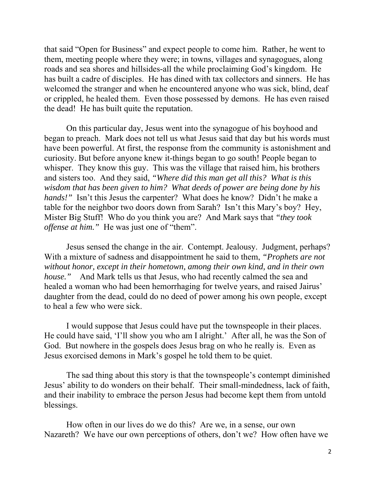that said "Open for Business" and expect people to come him. Rather, he went to them, meeting people where they were; in towns, villages and synagogues, along roads and sea shores and hillsides-all the while proclaiming God's kingdom. He has built a cadre of disciples. He has dined with tax collectors and sinners. He has welcomed the stranger and when he encountered anyone who was sick, blind, deaf or crippled, he healed them. Even those possessed by demons. He has even raised the dead! He has built quite the reputation.

On this particular day, Jesus went into the synagogue of his boyhood and began to preach. Mark does not tell us what Jesus said that day but his words must have been powerful. At first, the response from the community is astonishment and curiosity. But before anyone knew it-things began to go south! People began to whisper. They know this guy. This was the village that raised him, his brothers and sisters too. And they said, *"Where did this man get all this? What is this wisdom that has been given to him? What deeds of power are being done by his hands!*" Isn't this Jesus the carpenter? What does he know? Didn't he make a table for the neighbor two doors down from Sarah? Isn't this Mary's boy? Hey, Mister Big Stuff! Who do you think you are? And Mark says that *"they took offense at him."* He was just one of "them".

Jesus sensed the change in the air. Contempt. Jealousy. Judgment, perhaps? With a mixture of sadness and disappointment he said to them, *"Prophets are not without honor, except in their hometown, among their own kind, and in their own house.*" And Mark tells us that Jesus, who had recently calmed the sea and healed a woman who had been hemorrhaging for twelve years, and raised Jairus' daughter from the dead, could do no deed of power among his own people, except to heal a few who were sick.

I would suppose that Jesus could have put the townspeople in their places. He could have said, 'I'll show you who am I alright.' After all, he was the Son of God. But nowhere in the gospels does Jesus brag on who he really is. Even as Jesus exorcised demons in Mark's gospel he told them to be quiet.

The sad thing about this story is that the townspeople's contempt diminished Jesus' ability to do wonders on their behalf. Their small-mindedness, lack of faith, and their inability to embrace the person Jesus had become kept them from untold blessings.

How often in our lives do we do this? Are we, in a sense, our own Nazareth? We have our own perceptions of others, don't we? How often have we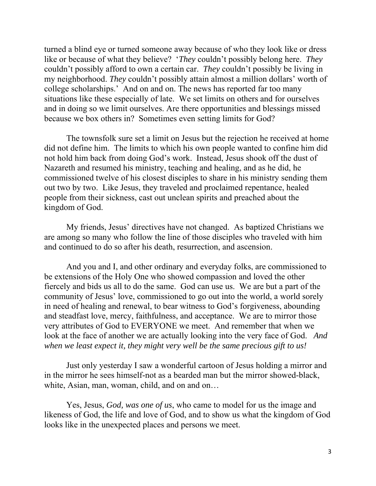turned a blind eye or turned someone away because of who they look like or dress like or because of what they believe? '*They* couldn't possibly belong here. *They*  couldn't possibly afford to own a certain car. *They* couldn't possibly be living in my neighborhood. *They* couldn't possibly attain almost a million dollars' worth of college scholarships.' And on and on. The news has reported far too many situations like these especially of late. We set limits on others and for ourselves and in doing so we limit ourselves. Are there opportunities and blessings missed because we box others in? Sometimes even setting limits for God?

The townsfolk sure set a limit on Jesus but the rejection he received at home did not define him. The limits to which his own people wanted to confine him did not hold him back from doing God's work. Instead, Jesus shook off the dust of Nazareth and resumed his ministry, teaching and healing, and as he did, he commissioned twelve of his closest disciples to share in his ministry sending them out two by two. Like Jesus, they traveled and proclaimed repentance, healed people from their sickness, cast out unclean spirits and preached about the kingdom of God.

My friends, Jesus' directives have not changed. As baptized Christians we are among so many who follow the line of those disciples who traveled with him and continued to do so after his death, resurrection, and ascension.

And you and I, and other ordinary and everyday folks, are commissioned to be extensions of the Holy One who showed compassion and loved the other fiercely and bids us all to do the same. God can use us. We are but a part of the community of Jesus' love, commissioned to go out into the world, a world sorely in need of healing and renewal, to bear witness to God's forgiveness, abounding and steadfast love, mercy, faithfulness, and acceptance. We are to mirror those very attributes of God to EVERYONE we meet. And remember that when we look at the face of another we are actually looking into the very face of God. *And when we least expect it, they might very well be the same precious gift to us!* 

Just only yesterday I saw a wonderful cartoon of Jesus holding a mirror and in the mirror he sees himself-not as a bearded man but the mirror showed-black, white, Asian, man, woman, child, and on and on…

 Yes, Jesus, *God, was one of us*, who came to model for us the image and likeness of God, the life and love of God, and to show us what the kingdom of God looks like in the unexpected places and persons we meet.